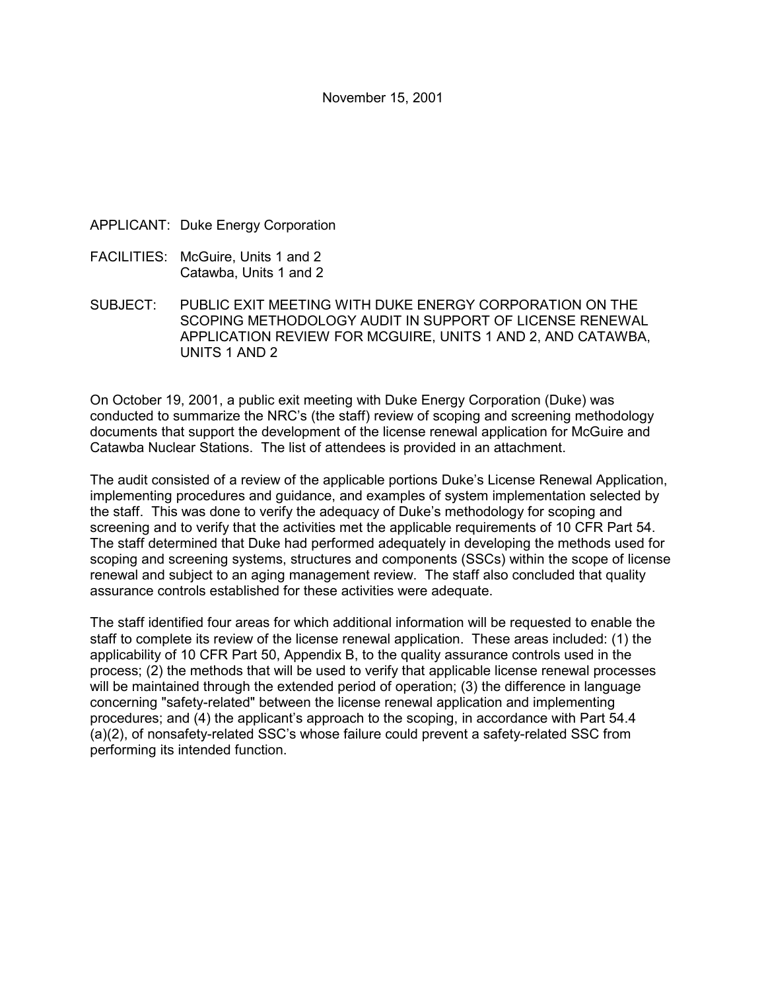- APPLICANT: Duke Energy Corporation
- FACILITIES: McGuire, Units 1 and 2 Catawba, Units 1 and 2
- SUBJECT: PUBLIC EXIT MEETING WITH DUKE ENERGY CORPORATION ON THE SCOPING METHODOLOGY AUDIT IN SUPPORT OF LICENSE RENEWAL APPLICATION REVIEW FOR MCGUIRE, UNITS 1 AND 2, AND CATAWBA, UNITS 1 AND 2

On October 19, 2001, a public exit meeting with Duke Energy Corporation (Duke) was conducted to summarize the NRC's (the staff) review of scoping and screening methodology documents that support the development of the license renewal application for McGuire and Catawba Nuclear Stations. The list of attendees is provided in an attachment.

The audit consisted of a review of the applicable portions Duke's License Renewal Application, implementing procedures and guidance, and examples of system implementation selected by the staff. This was done to verify the adequacy of Duke's methodology for scoping and screening and to verify that the activities met the applicable requirements of 10 CFR Part 54. The staff determined that Duke had performed adequately in developing the methods used for scoping and screening systems, structures and components (SSCs) within the scope of license renewal and subject to an aging management review. The staff also concluded that quality assurance controls established for these activities were adequate.

The staff identified four areas for which additional information will be requested to enable the staff to complete its review of the license renewal application. These areas included: (1) the applicability of 10 CFR Part 50, Appendix B, to the quality assurance controls used in the process; (2) the methods that will be used to verify that applicable license renewal processes will be maintained through the extended period of operation; (3) the difference in language concerning "safety-related" between the license renewal application and implementing procedures; and (4) the applicant's approach to the scoping, in accordance with Part 54.4 (a)(2), of nonsafety-related SSC's whose failure could prevent a safety-related SSC from performing its intended function.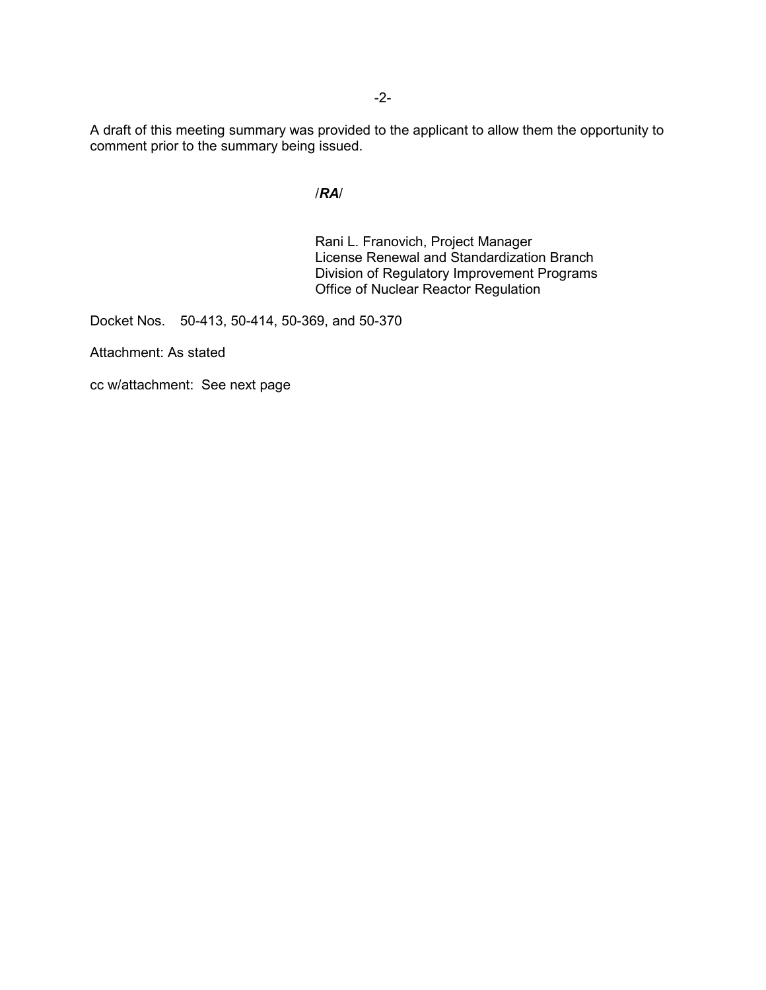A draft of this meeting summary was provided to the applicant to allow them the opportunity to comment prior to the summary being issued.

### /*RA*/

Rani L. Franovich, Project Manager License Renewal and Standardization Branch Division of Regulatory Improvement Programs Office of Nuclear Reactor Regulation

Docket Nos. 50-413, 50-414, 50-369, and 50-370

Attachment: As stated

cc w/attachment: See next page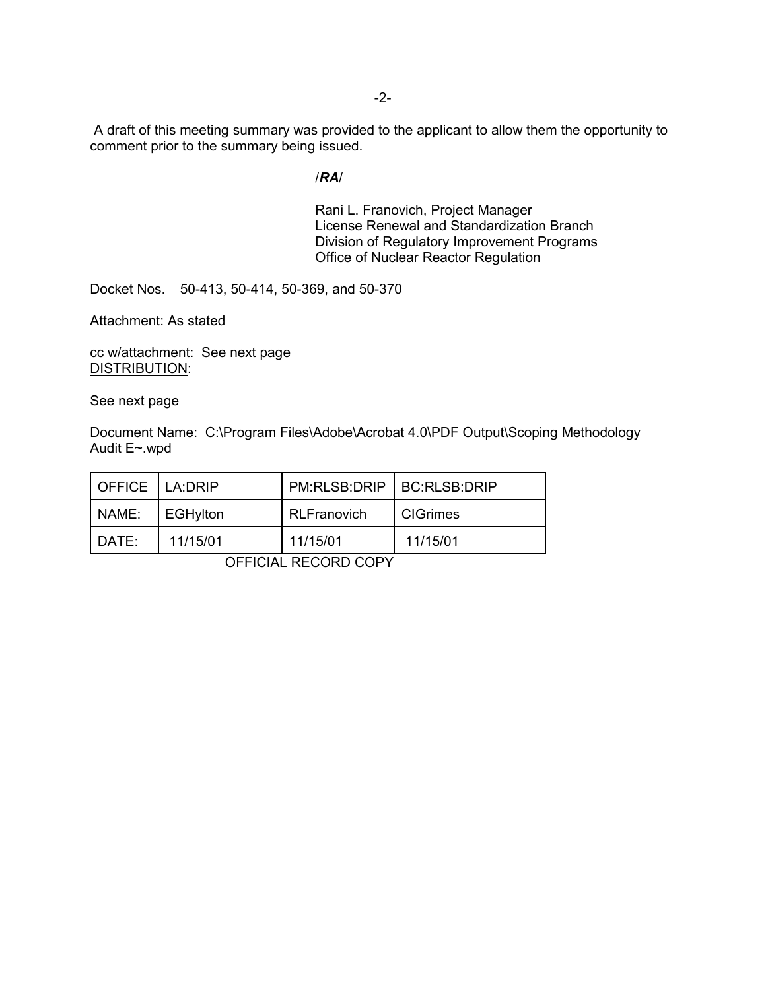A draft of this meeting summary was provided to the applicant to allow them the opportunity to comment prior to the summary being issued.

#### /*RA*/

Rani L. Franovich, Project Manager License Renewal and Standardization Branch Division of Regulatory Improvement Programs Office of Nuclear Reactor Regulation

Docket Nos. 50-413, 50-414, 50-369, and 50-370

Attachment: As stated

cc w/attachment: See next page DISTRIBUTION:

See next page

Document Name: C:\Program Files\Adobe\Acrobat 4.0\PDF Output\Scoping Methodology Audit E~.wpd

| OFFICE LA:DRIP |          | PM:RLSB:DRIP   BC:RLSB:DRIP |                 |
|----------------|----------|-----------------------------|-----------------|
| NAME:          | EGHylton | <b>RLFranovich</b>          | <b>CIGrimes</b> |
| DATE:          | 11/15/01 | 11/15/01                    | 11/15/01        |

OFFICIAL RECORD COPY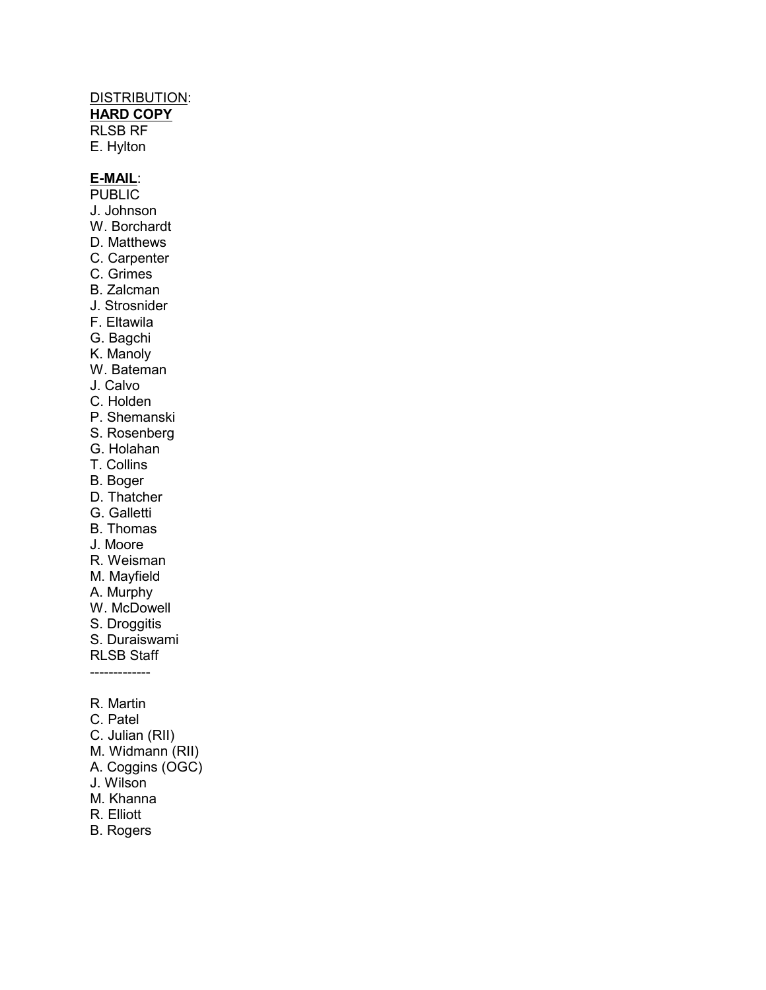## DISTRIBUTION:

**HARD COPY**

RLSB RF E. Hylton

### **E-MAIL**:

- **PUBLIC** J. Johnson
- W. Borchardt
- D. Matthews
- C. Carpenter
- C. Grimes
- B. Zalcman
- J. Strosnider
- F. Eltawila
- G. Bagchi
- K. Manoly
- W. Bateman
- J. Calvo
- C. Holden
- P. Shemanski
- S. Rosenberg
- G. Holahan
- T. Collins
- B. Boger
- D. Thatcher
- G. Galletti
- B. Thomas
- J. Moore
- R. Weisman
- M. Mayfield
- A. Murphy
- W. McDowell
- S. Droggitis
- S. Duraiswami
- RLSB Staff
- -------------
- R. Martin
- C. Patel
- C. Julian (RII)
- M. Widmann (RII)
- A. Coggins (OGC)
- J. Wilson
- M. Khanna
- R. Elliott
- B. Rogers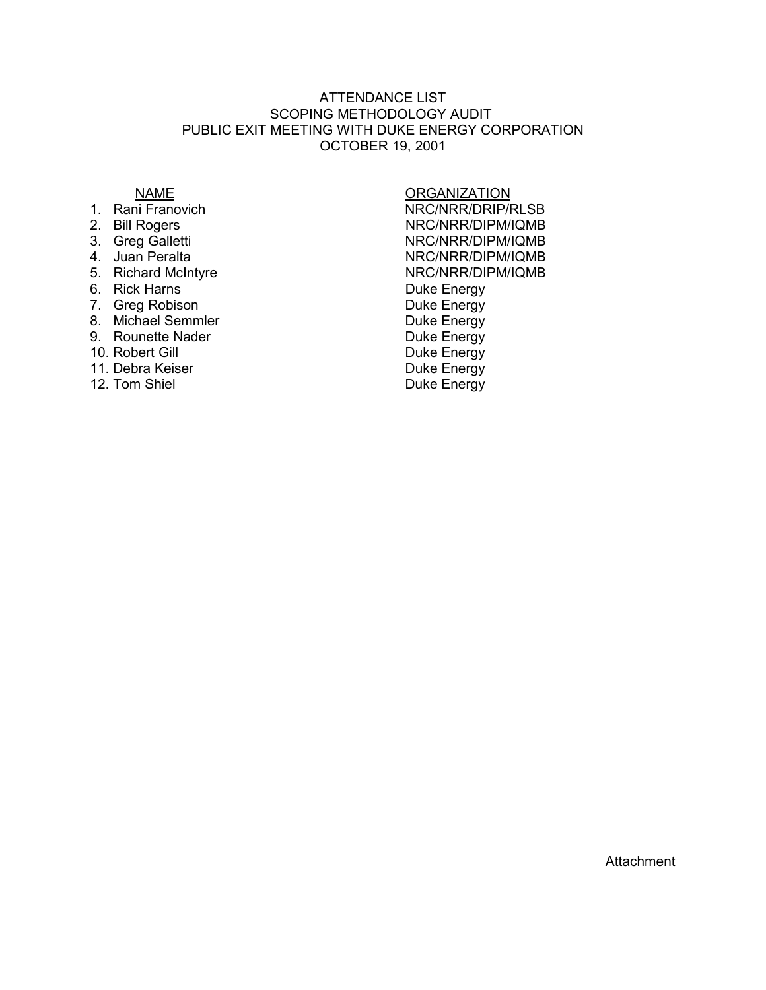#### ATTENDANCE LIST SCOPING METHODOLOGY AUDIT PUBLIC EXIT MEETING WITH DUKE ENERGY CORPORATION OCTOBER 19, 2001

- 
- 
- 
- 
- 
- 
- 7. Greg Robison **Duke Energy**
- 8. Michael Semmler Duke Energy
- 9. Rounette Nader **Duke Energy**
- 
- 11. Debra Keiser **Duke Energy**
- 

# <u>NAME NAME</u><br>1. Rani Franovich Channel Channel Channel Channel Channel Channel Channel Channel Channel Channel Channel Chan<br>1. Rani Franovich Channel Channel Channel Channel Channel Channel Channel Channel Channel Channel C NRC/NRR/DRIP/RLSB 2. Bill Rogers NRC/NRR/DIPM/IQMB<br>3. Greg Galletti Santa Control State NRC/NRR/DIPM/IQMB 3. Greg Galletti NRC/NRR/DIPM/IQMB 4. Juan Peralta<br>
5. Richard McIntyre<br>
S. Richard McIntyre<br>
NRC/NRR/DIPM/IQMB NRC/NRR/DIPM/IQMB 6. Rick Harns **Duke Energy** 10. Robert Gill **Duke Energy** 12. Tom Shiel **Duke Energy**

**Attachment**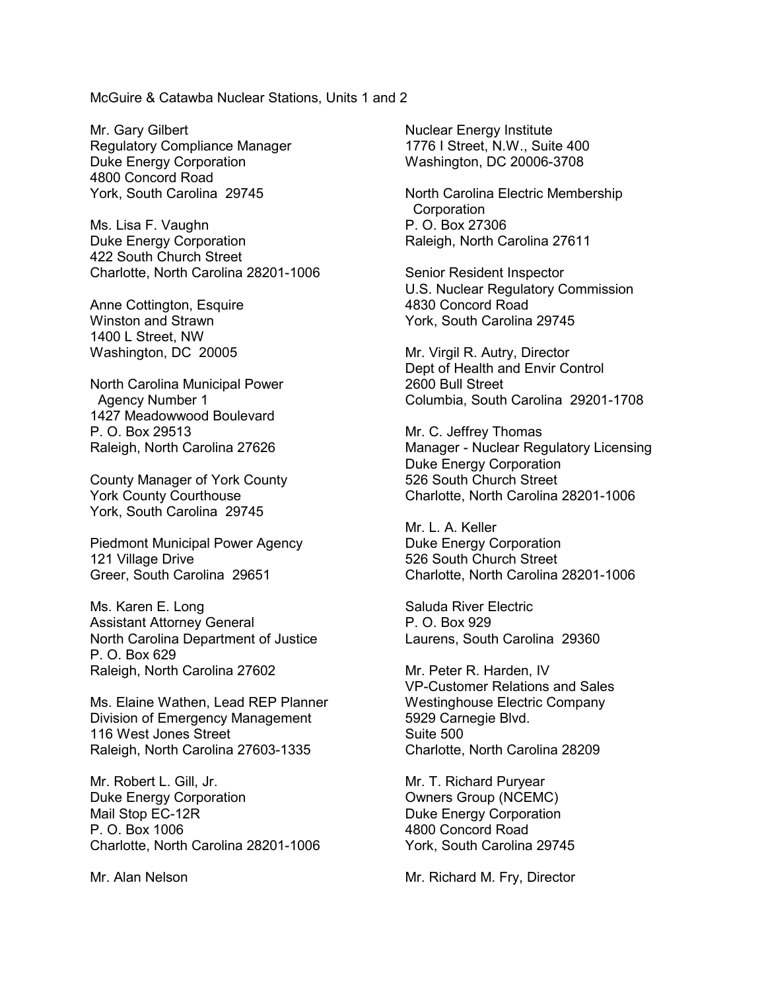McGuire & Catawba Nuclear Stations, Units 1 and 2

Mr. Gary Gilbert Regulatory Compliance Manager Duke Energy Corporation 4800 Concord Road York, South Carolina 29745

Ms. Lisa F. Vaughn Duke Energy Corporation 422 South Church Street Charlotte, North Carolina 28201-1006

Anne Cottington, Esquire Winston and Strawn 1400 L Street, NW Washington, DC 20005

North Carolina Municipal Power Agency Number 1 1427 Meadowwood Boulevard P. O. Box 29513 Raleigh, North Carolina 27626

County Manager of York County York County Courthouse York, South Carolina 29745

Piedmont Municipal Power Agency 121 Village Drive Greer, South Carolina 29651

Ms. Karen E. Long Assistant Attorney General North Carolina Department of Justice P. O. Box 629 Raleigh, North Carolina 27602

Ms. Elaine Wathen, Lead REP Planner Division of Emergency Management 116 West Jones Street Raleigh, North Carolina 27603-1335

Mr. Robert L. Gill, Jr. Duke Energy Corporation Mail Stop EC-12R P. O. Box 1006 Charlotte, North Carolina 28201-1006

Mr. Alan Nelson

Nuclear Energy Institute 1776 I Street, N.W., Suite 400 Washington, DC 20006-3708

North Carolina Electric Membership **Corporation** P. O. Box 27306 Raleigh, North Carolina 27611

Senior Resident Inspector U.S. Nuclear Regulatory Commission 4830 Concord Road York, South Carolina 29745

Mr. Virgil R. Autry, Director Dept of Health and Envir Control 2600 Bull Street Columbia, South Carolina 29201-1708

Mr. C. Jeffrey Thomas Manager - Nuclear Regulatory Licensing Duke Energy Corporation 526 South Church Street Charlotte, North Carolina 28201-1006

Mr. L. A. Keller Duke Energy Corporation 526 South Church Street Charlotte, North Carolina 28201-1006

Saluda River Electric P. O. Box 929 Laurens, South Carolina 29360

Mr. Peter R. Harden, IV VP-Customer Relations and Sales Westinghouse Electric Company 5929 Carnegie Blvd. Suite 500 Charlotte, North Carolina 28209

Mr. T. Richard Puryear Owners Group (NCEMC) Duke Energy Corporation 4800 Concord Road York, South Carolina 29745

Mr. Richard M. Fry, Director